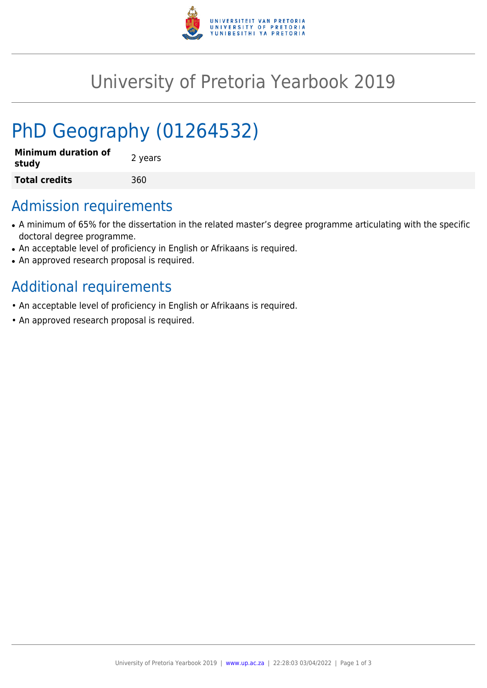

# University of Pretoria Yearbook 2019

# PhD Geography (01264532)

| <b>Minimum duration of</b><br>study | 2 years |
|-------------------------------------|---------|
| <b>Total credits</b>                | 360     |

### Admission requirements

- A minimum of 65% for the dissertation in the related master's degree programme articulating with the specific doctoral degree programme.
- An acceptable level of proficiency in English or Afrikaans is required.
- An approved research proposal is required.

## Additional requirements

- An acceptable level of proficiency in English or Afrikaans is required.
- An approved research proposal is required.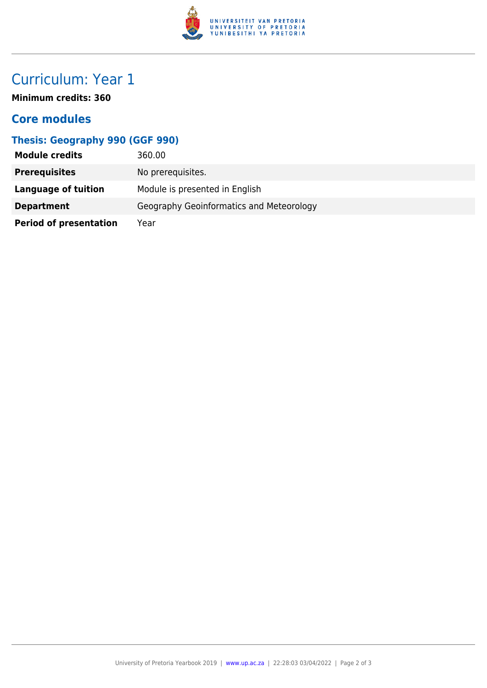

## Curriculum: Year 1

**Minimum credits: 360**

### **Core modules**

#### **Thesis: Geography 990 (GGF 990)**

| <b>Module credits</b>         | 360.00                                   |
|-------------------------------|------------------------------------------|
| <b>Prerequisites</b>          | No prerequisites.                        |
| Language of tuition           | Module is presented in English           |
| <b>Department</b>             | Geography Geoinformatics and Meteorology |
| <b>Period of presentation</b> | Year                                     |